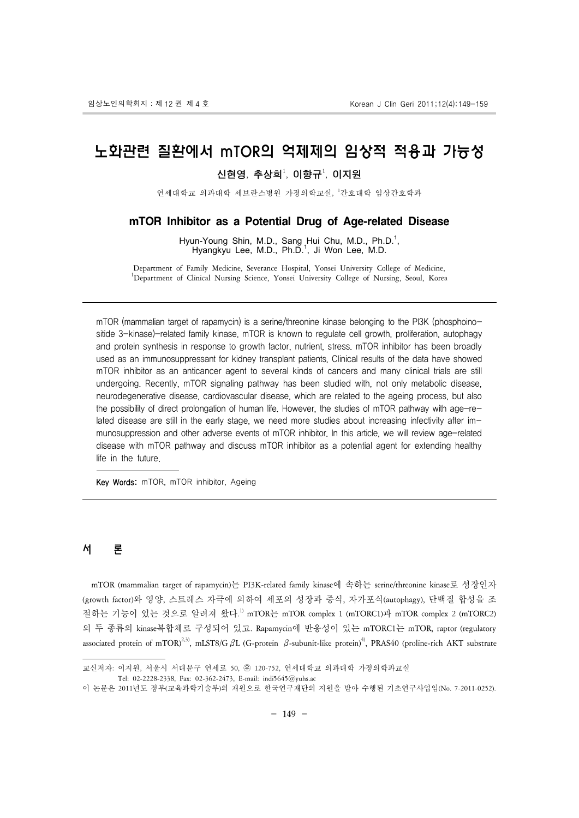# 노화관련 질환에서 mTOR의 억제제의 임상적 적용과 가능성

### 신현영, 추상희 $^1$ , 이향규 $^1$ , 이지원

연세대학교 의과대학 세브란스병원 가정의학교실, <sup>1</sup> 간호대학 임상간호학과

#### **mTOR Inhibitor as a Potential Drug of Age-related Disease**

Hyun-Young Shin, M.D., Sang Hui Chu, M.D., Ph.D.<sup>1</sup>, Hyangkyu Lee, M.D., Ph.D.<sup>1</sup>, Ji Won Lee, M.D.

Department of Family Medicine, Severance Hospital, Yonsei University College of Medicine, 1 <sup>1</sup>Department of Clinical Nursing Science, Yonsei University College of Nursing, Seoul, Korea

mTOR (mammalian target of rapamycin) is a serine/threonine kinase belonging to the PI3K (phosphoinositide 3-kinase)-related family kinase. mTOR is known to regulate cell growth, proliferation, autophagy and protein synthesis in response to growth factor, nutrient, stress. mTOR inhibitor has been broadly used as an immunosuppressant for kidney transplant patients. Clinical results of the data have showed mTOR inhibitor as an anticancer agent to several kinds of cancers and many clinical trials are still undergoing. Recently, mTOR signaling pathway has been studied with, not only metabolic disease, neurodegenerative disease, cardiovascular disease, which are related to the ageing process, but also the possibility of direct prolongation of human life. However, the studies of mTOR pathway with age-related disease are still in the early stage, we need more studies about increasing infectivity after immunosuppression and other adverse events of mTOR inhibitor. In this article, we will review age-related disease with mTOR pathway and discuss mTOR inhibitor as a potential agent for extending healthy life in the future.

Key Words: mTOR, mTOR inhibitor, Ageing

# 서 론

 mTOR (mammalian target of rapamycin)는 PI3K-related family kinase에 속하는 serine/threonine kinase로 성장인자 (growth factor)와 영양, 스트레스 자극에 의하여 세포의 성장과 증식, 자가포식(autophagy), 단백질 합성을 조 절하는 기능이 있는 것으로 알려져 왔다.<sup>!)</sup> mTOR는 mTOR complex 1 (mTORC1)과 mTOR complex 2 (mTORC2) 의 두 종류의 kinase복합체로 구성되어 있고. Rapamycin에 반응성이 있는 mTORC1는 mTOR, raptor (regulatory associated protein of mTOR)<sup>2,3)</sup>, mLST8/G  $\beta L$  (G-protein  $\beta$ -subunit-like protein)<sup>4)</sup>, PRAS40 (proline-rich AKT substrate

교신저자: 이지원, 서울시 서대문구 연세로 50, 의 120-752, 연세대학교 의과대학 가정의학과교실

Tel: 02-2228-2338, Fax: 02-362-2473, E-mail: indi5645@yuhs.ac

이 논문은 2011년도 정부(교육과학기술부)의 재원으로 한국연구재단의 지원을 받아 수행된 기초연구사업임(No. 7-2011-0252).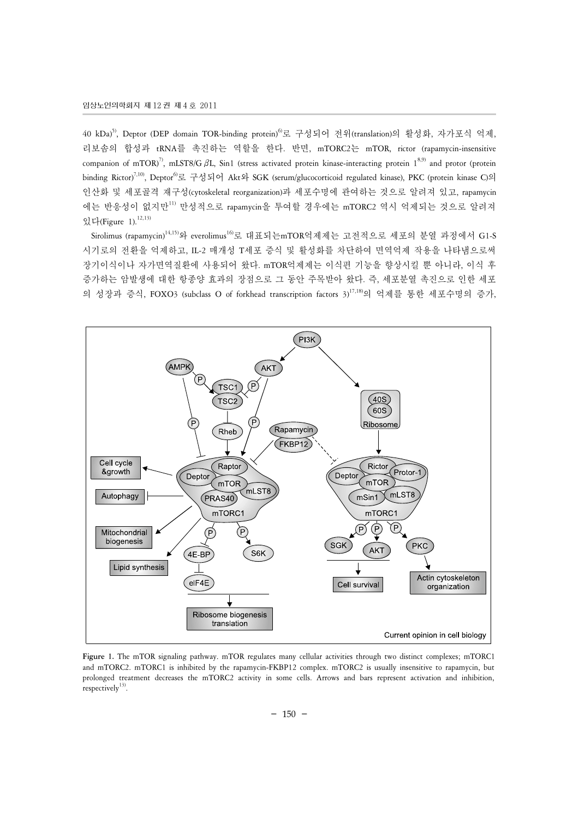40 kDa)5), Deptor (DEP domain TOR-binding protein)6)로 구성되어 전위(translation)의 활성화, 자가포식 억제, 리보솜의 합성과 tRNA를 촉진하는 역할을 한다. 반면, mTORC2는 mTOR, rictor (rapamycin-insensitive companion of mTOR)<sup>7)</sup>, mLST8/G  $\beta$ L, Sin1 (stress activated protein kinase-interacting protein 1<sup>8,9)</sup> and protor (protein binding Rictor)<sup>7,10)</sup>, Deptor<sup>6</sup>로 구성되어 Akt와 SGK (serum/glucocorticoid regulated kinase), PKC (protein kinase C)의 인산화 및 세포골격 재구성(cytoskeletal reorganization)과 세포수명에 관여하는 것으로 알려져 있고, rapamycin 에는 반응성이 없지만11) 만성적으로 rapamycin을 투여할 경우에는 mTORC2 역시 억제되는 것으로 알려져 있다(Figure 1).12,13)

 Sirolimus (rapamycin)14,15)와 everolimus16)로 대표되는mTOR억제제는 고전적으로 세포의 분열 과정에서 G1-S 시기로의 전환을 억제하고, IL-2 매개성 T세포 증식 및 활성화를 차단하여 면역억제 작용을 나타냄으로써 장기이식이나 자가면역질환에 사용되어 왔다. mTOR억제제는 이식편 기능을 향상시킬 뿐 아니라, 이식 후 증가하는 암발생에 대한 항종양 효과의 장점으로 그 동안 주목받아 왔다. 즉, 세포분열 촉진으로 인한 세포 의 성장과 증식, FOXO3 (subclass O of forkhead transcription factors 3)17,18)의 억제를 통한 세포수명의 증가,



**Figure 1.** The mTOR signaling pathway. mTOR regulates many cellular activities through two distinct complexes; mTORC1 and mTORC2. mTORC1 is inhibited by the rapamycin-FKBP12 complex. mTORC2 is usually insensitive to rapamycin, but prolonged treatment decreases the mTORC2 activity in some cells. Arrows and bars represent activation and inhibition, respectively $13$ ).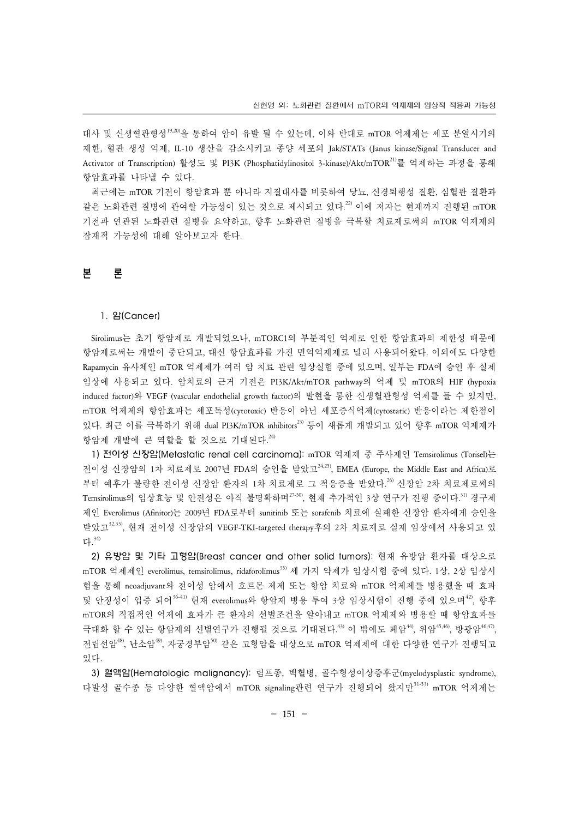대사 및 신생혈관형성19,20)을 통하여 암이 유발 될 수 있는데, 이와 반대로 mTOR 억제제는 세포 분열시기의 제한, 혈관 생성 억제, IL-10 생산을 감소시키고 종양 세포의 Jak/STATs (Janus kinase/Signal Transducer and Activator of Transcription) 활성도 및 PI3K (Phosphatidylinositol 3-kinase)/Akt/mTOR21)를 억제하는 과정을 통해 항암효과를 나타낼 수 있다.

 최근에는 mTOR 기전이 항암효과 뿐 아니라 지질대사를 비롯하여 당뇨, 신경퇴행성 질환, 심혈관 질환과 같은 노화관련 질병에 관여할 가능성이 있는 것으로 제시되고 있다. 22) 이에 저자는 현재까지 진행된 mTOR 기전과 연관된 노화관련 질병을 요약하고, 향후 노화관련 질병을 극복할 치료제로써의 mTOR 억제제의 잠재적 가능성에 대해 알아보고자 한다.

# 본 론

#### 1. 암(Cancer)

 Sirolimus는 초기 항암제로 개발되었으나, mTORC1의 부분적인 억제로 인한 항암효과의 제한성 때문에 항암제로써는 개발이 중단되고, 대신 항암효과를 가진 면억억제제로 널리 사용되어왔다. 이외에도 다양한 Rapamycin 유사체인 mTOR 억제제가 여러 암 치료 관련 임상실험 중에 있으며, 일부는 FDA에 승인 후 실제 임상에 사용되고 있다. 암치료의 근거 기전은 PI3K/Akt/mTOR pathway의 억제 및 mTOR의 HIF (hypoxia induced factor)와 VEGF (vascular endothelial growth factor)의 발현을 통한 신생혈관형성 억제를 들 수 있지만, mTOR 억제제의 항암효과는 세포독성(cytotoxic) 반응이 아닌 세포증식억제(cytostatic) 반응이라는 제한점이 있다. 최근 이를 극복하기 위해 dual PI3K/mTOR inhibitors<sup>23)</sup> 등이 새롭게 개발되고 있어 향후 mTOR 억제제가 항암제 개발에 큰 역할을 할 것으로 기대된다. 24)

 1) 전이성 신장암(Metastatic renal cell carcinoma): mTOR 억제제 중 주사제인 Temsirolimus (Torisel)는 전이성 신장암의 1차 치료제로 2007년 FDA의 승인을 받았고<sup>24,25)</sup>, EMEA (Europe, the Middle East and Africa)로 부터 예후가 불량한 전이성 신장암 환자의 1차 치료제로 그 적응증을 받았다.<sup>26)</sup> 신장암 2차 치료제로써의 Temsirolimus의 임상효능 및 안전성은 아직 불명확하며<sup>27-30</sup>, 현재 추가적인 3상 연구가 진행 중이다.<sup>31)</sup> 경구제 제인 Everolimus (Afinitor)는 2009년 FDA로부터 sunitinib 또는 sorafenib 치료에 실패한 신장암 환자에게 승인을 받았고32,33), 현재 전이성 신장암의 VEGF-TKI-targeted therapy후의 2차 치료제로 실제 임상에서 사용되고 있 다. 34)

 2) 유방암 및 기타 고형암(Breast cancer and other solid tumors): 현재 유방암 환자를 대상으로 mTOR 억제제인 everolimus, temsirolimus, ridaforolimus35) 세 가지 약제가 임상시험 중에 있다. 1상, 2상 임상시 험을 통해 neoadjuvant와 전이성 암에서 호르몬 제제 또는 항암 치료와 mTOR 억제제를 병용했을 때 효과 및 안정성이 입증 되어<sup>3641)</sup> 현재 everolimus와 항암제 병용 투여 3상 임상시험이 진행 중에 있으며<sup>42</sup>, 향후 mTOR의 직접적인 억제에 효과가 큰 환자의 선별조건을 알아내고 mTOR 억제제와 병용할 때 항암효과를 극대화 할 수 있는 항암제의 선별연구가 진행될 것으로 기대된다.<sup>43)</sup> 이 밖에도 폐암<sup>44)</sup>, 위암<sup>45,46)</sup>, 방광암<sup>46,47</sup>, 저립선암 $^{49}$ , 나소암 $^{49}$ , 자궁경부암 $^{50}$  같은 고형암을 대상으로 mTOR 억제제에 대한 다양한 연구가 진행되고 있다.

 3) 혈액암(Hematologic malignancy): 림프종, 백혈병, 골수형성이상증후군(myelodysplastic syndrome), 다발성 골수종 등 다양한 혈액암에서 mTOR signaling관련 연구가 진행되어 왔지만 $^{51-53)}$  mTOR 억제제는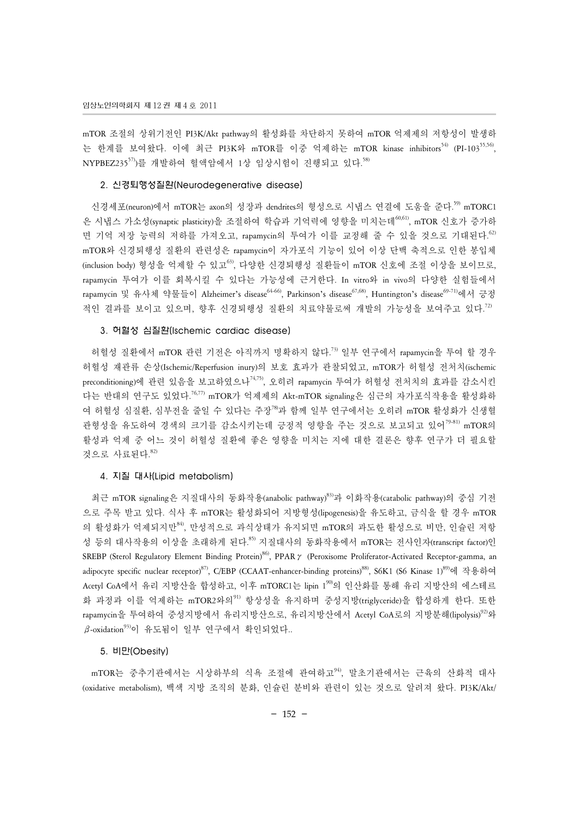mTOR 조절의 상위기전인 PI3K/Akt pathway의 활성화를 차단하지 못하여 mTOR 억제제의 저항성이 발생하 는 한계를 보여왔다. 이에 최근 PI3K와 mTOR를 이중 억제하는 mTOR kinase inhibitors<sup>54)</sup> (PI-103<sup>55,56</sup>, NYPBEZ235<sup>57)</sup>를 개발하여 혈액암에서 1상 임상시험이 진행되고 있다.<sup>58)</sup>

#### 2. 신경퇴행성질환(Neurodegenerative disease)

신경세포(neuron)에서 mTOR는 axon의 성장과 dendrites의 형성으로 시냅스 연결에 도움을 준다.<sup>59)</sup> mTORC1 은 시냅스 가소성(synaptic plasticity)을 조절하여 학습과 기억력에 영향을 미치는데<sup>60,61)</sup>, mTOR 신호가 증가하 면 기억 저장 능력의 저하를 가져오고, rapamycin의 투여가 이를 교정해 줄 수 있을 것으로 기대된다.<sup>62</sup> mTOR와 신경퇴행성 질환의 관련성은 rapamycin이 자가포식 기능이 있어 이상 단백 축적으로 인한 봉입체  $($ inclusion body) 형성을 억제할 수 있고 $^{(3)}$ , 다양한 신경퇴행성 질환들이 mTOR 신호에 조절 이상을 보이므로, rapamycin 투여가 이를 회복시킬 수 있다는 가능성에 근거한다. In vitro와 in vivo의 다양한 실험들에서 rapamycin 및 유사체 약물들이 Alzheimer's disease<sup>64-66</sup>, Parkinson's disease<sup>67,68)</sup>, Huntington's disease<sup>69-71)</sup>에서 긍정 적인 결과를 보이고 있으며, 향후 신경퇴행성 질환의 치료약물로써 개발의 가능성을 보여주고 있다. 72)

#### 3. 허혈성 심질환(Ischemic cardiac disease)

 허혈성 질환에서 mTOR 관련 기전은 아직까지 명확하지 않다. 73) 일부 연구에서 rapamycin을 투여 할 경우 허혈성 재관류 손상(Ischemic/Reperfusion inury)의 보호 효과가 관찰되었고, mTOR가 허혈성 전처치(ischemic preconditioning)에 관련 있음을 보고하였으나<sup>74,75</sup>, 오히려 rapamycin 투여가 허혈성 전처치의 효과를 감소시킨 다는 반대의 연구도 있었다.<sup>76,77)</sup> mTOR가 억제제의 Akt-mTOR signaling은 심근의 자가포식작용을 활성화하 여 허혈성 심질환, 심부전을 줄일 수 있다는 주장<sup>78</sup>과 함께 일부 연구에서는 오히려 mTOR 활성화가 신생혈 관형성을 유도하여 경색의 크기를 감소시키는데 긍정적 영향을 주는 것으로 보고되고 있어<sup>79-81)</sup> mTOR의 활성과 억제 중 어느 것이 허혈성 질환에 좋은 영향을 미치는 지에 대한 결론은 향후 연구가 더 필요할 것으로 사료된다. 82)

#### 4. 지질 대사(Lipid metabolism)

 최근 mTOR signaling은 지질대사의 동화작용(anabolic pathway)83)과 이화작용(catabolic pathway)의 중심 기전 으로 주목 받고 있다. 식사 후 mTOR는 활성화되어 지방형성(lipogenesis)을 유도하고, 금식을 할 경우 mTOR 의 활성화가 억제되지만<sup>84</sup>, 만성적으로 과식상태가 유지되면 mTOR의 과도한 활성으로 비만, 인슐린 저항 성 등의 대사작용의 이상을 초래하게 된다.<sup>85)</sup> 지질대사의 동화작용에서 mTOR는 전사인자(transcript factor)인 SREBP (Sterol Regulatory Element Binding Protein)<sup>86</sup>, PPAR γ (Peroxisome Proliferator-Activated Receptor-gamma, an adipocyte specific nuclear receptor)<sup>87)</sup>, C/EBP (CCAAT-enhancer-binding proteins)<sup>88)</sup>, S6K1 (S6 Kinase 1)<sup>89)</sup>에 작용하여 Acetyl CoA에서 유리 지방산을 합성하고, 이후 mTORC1는 lipin 1<sup>90</sup>의 인산화를 통해 유리 지방산의 에스테르 화 과정과 이를 억제하는 mTOR2와의<sup>91)</sup> 항상성을 유지하며 중성지방(triglyceride)을 합성하게 한다. 또한 rapamycin을 투여하여 중성지방에서 유리지방산으로, 유리지방산에서 Acetyl CoA로의 지방분해(lipolysis)<sup>92</sup>와  $β$ -oxidation<sup>93)</sup>이 유도됨이 일부 연구에서 확인되었다..

#### 5. 비만(Obesity)

mTOR는 중추기관에서는 시상하부의 식욕 조절에 관여하고<sup>94</sup>, 말초기관에서는 근육의 산화적 대사 (oxidative metabolism), 백색 지방 조직의 분화, 인슐린 분비와 관련이 있는 것으로 알려져 왔다. PI3K/Akt/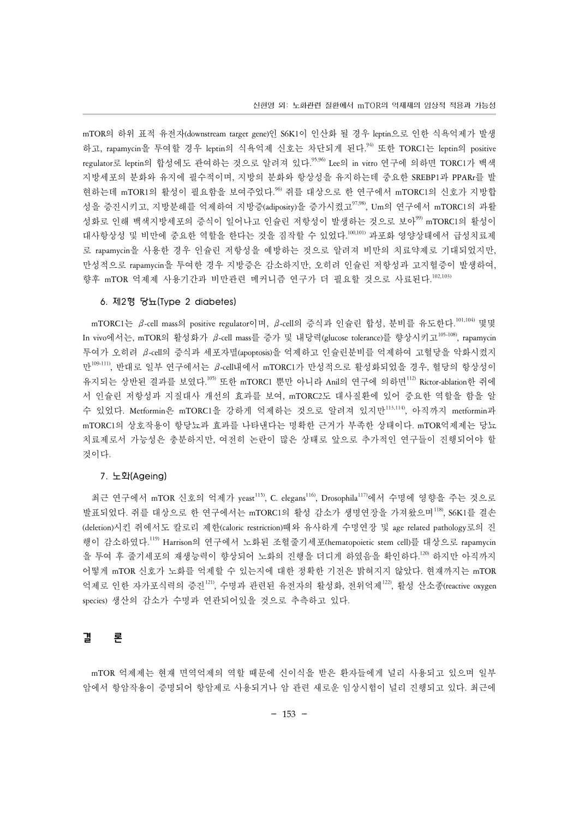mTOR의 하위 표적 유전자(downstream target gene)인 S6K1이 인산화 될 경우 leptin으로 인한 식욕억제가 발생 하고, rapamycin을 투여할 경우 leptin의 식욕억제 신호는 차단되게 된다.<sup>94)</sup> 또한 TORC1는 leptin의 positive regulator로 leptin의 합성에도 관여하는 것으로 알려져 있다.<sup>95,96)</sup> Lee의 in vitro 연구에 의하면 TORC1가 백색 지방세포의 분화와 유지에 필수적이며, 지방의 분화와 항상성을 유지하는데 중요한 SREBP1과 PPARr를 발 현하는데 mTOR1의 활성이 필요함을 보여주었다.<sup>96)</sup> 쥐를 대상으로 한 연구에서 mTORC1의 신호가 지방합 성을 증진시키고, 지방분해를 억제하여 지방증(adiposity)을 증가시켰고<sup>97,98)</sup>, Um의 연구에서 mTORC1의 과활 성화로 인해 백색지방세포의 증식이 일어나고 인슐린 저항성이 발생하는 것으로 보아<sup>99)</sup> mTORC1의 활성이 대사항상성 및 비만에 중요한 역할을 한다는 것을 짐작할 수 있었다. 100,101) 과포화 영양상태에서 급성치료제 로 rapamycin을 사용한 경우 인슐린 저항성을 예방하는 것으로 알려져 비만의 치료약제로 기대되었지만, 만성적으로 rapamycin을 투여한 경우 지방증은 감소하지만, 오히려 인슐린 저항성과 고지혈증이 발생하여, 향후 mTOR 억제제 사용기간과 비만관련 메커니즘 연구가 더 필요할 것으로 사료된다.<sup>102,103)</sup>

#### 6. 제2형 당뇨(Type 2 diabetes)

mTORC1는 β-cell mass의 positive regulator이며, β-cell의 증식과 인슐린 합성, 분비를 유도한다.<sup>101,104)</sup> 몇몇 In vivo에서는, mTOR의 활성화가 β-cell mass를 증가 및 내당력(glucose tolerance)를 향상시키고<sup>105-108)</sup>, rapamycin 투여가 오히려 β-cell의 증식과 세포자멸(apoptosis)을 억제하고 인슐린분비를 억제하여 고혈당을 악화시켰지 만109-111), 반대로 일부 연구에서는 β-cell내에서 mTORC1가 만성적으로 활성화되었을 경우, 혈당의 항상성이 유지되는 상반된 결과를 보였다.<sup>105)</sup> 또한 mTORC1 뿐만 아니라 Anil의 연구에 의하면<sup>112)</sup> Rictor-ablation한 쥐에 서 인슐린 저항성과 지질대사 개선의 효과를 보여, mTORC2도 대사질환에 있어 중요한 역할을 함을 알 수 있었다. Metformin은 mTORC1을 강하게 억제하는 것으로 알려져 있지만113,114), 아직까지 metformin과 mTORC1의 상호작용이 항당뇨과 효과를 나타낸다는 명확한 근거가 부족한 상태이다. mTOR억제제는 당뇨 치료제로서 가능성은 충분하지만, 여전히 논란이 많은 상태로 앞으로 추가적인 연구들이 진행되어야 할 것이다.

#### 7. 노화(Ageing)

최근 연구에서 mTOR 신호의 억제가 yeast<sup>115)</sup>, C. elegans<sup>116)</sup>, Drosophila<sup>117)</sup>에서 수명에 영향을 주는 것으로 발표되었다. 쥐를 대상으로 한 연구에서는 mTORC1의 활성 감소가 생명연장을 가져왔으며<sup>118</sup>, S6K1를 결손 (deletion)시킨 쥐에서도 칼로리 제한(caloric restriction)때와 유사하게 수명연장 및 age related pathology로의 진 행이 감소하였다. 119) Harrison의 연구에서 노화된 조혈줄기세포(hematopoietic stem cell)를 대상으로 rapamycin 을 투여 후 줄기세포의 재생능력이 향상되어 노화의 진행을 더디게 하였음을 확인하다. 120) 하지만 아직까지 어떻게 mTOR 신호가 노화를 억제할 수 있는지에 대한 정확한 기전은 밝혀지지 않았다. 현재까지는 mTOR 억제로 인한 자가포식력의 증진 $^{121}$ , 수명과 관련된 유전자의 활성화, 전위억제 $^{122}$ , 활성 산소종(reactive oxygen species) 생산의 감소가 수명과 연관되어있을 것으로 추측하고 있다.

## 결 론

 mTOR 억제제는 현재 면역억제의 역할 때문에 신이식을 받은 환자들에게 널리 사용되고 있으며 일부 암에서 항암작용이 증명되어 항암제로 사용되거나 암 관련 새로운 임상시험이 널리 진행되고 있다. 최근에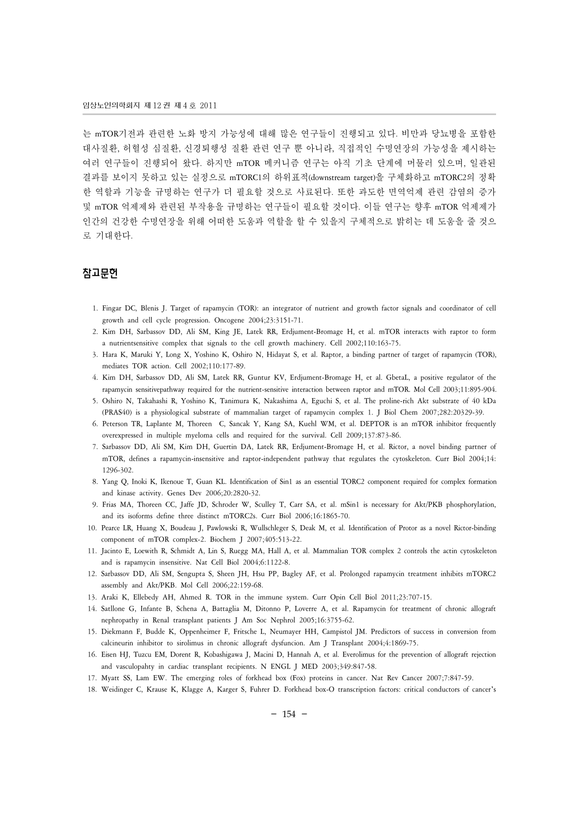는 mTOR기전과 관련한 노화 방지 가능성에 대해 많은 연구들이 진행되고 있다. 비만과 당뇨병을 포함한 대사질환, 허혈성 심질환, 신경퇴행성 질환 관련 연구 뿐 아니라, 직접적인 수명연장의 가능성을 제시하는 여러 연구들이 진행되어 왔다. 하지만 mTOR 메커니즘 연구는 아직 기초 단계에 머물러 있으며, 일관된 결과를 보이지 못하고 있는 실정으로 mTORC1의 하위표적(downstream target)을 구체화하고 mTORC2의 정확 한 역할과 기능을 규명하는 연구가 더 필요할 것으로 사료된다. 또한 과도한 면역억제 관련 감염의 증가 및 mTOR 억제제와 관련된 부작용을 규명하는 연구들이 필요할 것이다. 이들 연구는 향후 mTOR 억제제가 인간의 건강한 수명연장을 위해 어떠한 도움과 역할을 할 수 있을지 구체적으로 밝히는 데 도움을 줄 것으 로 기대한다.

### 참고문헌

- 1. Fingar DC, Blenis J. Target of rapamycin (TOR): an integrator of nutrient and growth factor signals and coordinator of cell growth and cell cycle progression. Oncogene 2004;23:3151-71.
- 2. Kim DH, Sarbassov DD, Ali SM, King JE, Latek RR, Erdjument-Bromage H, et al. mTOR interacts with raptor to form a nutrientsensitive complex that signals to the cell growth machinery. Cell 2002;110:163-75.
- 3. Hara K, Maruki Y, Long X, Yoshino K, Oshiro N, Hidayat S, et al. Raptor, a binding partner of target of rapamycin (TOR), mediates TOR action. Cell 2002;110:177-89.
- 4. Kim DH, Sarbassov DD, Ali SM, Latek RR, Guntur KV, Erdjument-Bromage H, et al. GbetaL, a positive regulator of the rapamycin sensitivepathway required for the nutrient-sensitive interaction between raptor and mTOR. Mol Cell 2003;11:895-904.
- 5. Oshiro N, Takahashi R, Yoshino K, Tanimura K, Nakashima A, Eguchi S, et al. The proline-rich Akt substrate of 40 kDa (PRAS40) is a physiological substrate of mammalian target of rapamycin complex 1. J Biol Chem 2007;282:20329-39.
- 6. Peterson TR, Laplante M, Thoreen C, Sancak Y, Kang SA, Kuehl WM, et al. DEPTOR is an mTOR inhibitor frequently overexpressed in multiple myeloma cells and required for the survival. Cell 2009;137:873-86.
- 7. Sarbassov DD, Ali SM, Kim DH, Guertin DA, Latek RR, Erdjument-Bromage H, et al. Rictor, a novel binding partner of mTOR, defines a rapamycin-insensitive and raptor-independent pathway that regulates the cytoskeleton. Curr Biol 2004;14: 1296-302.
- 8. Yang Q, Inoki K, Ikenoue T, Guan KL. Identification of Sin1 as an essential TORC2 component required for complex formation and kinase activity. Genes Dev 2006;20:2820-32.
- 9. Frias MA, Thoreen CC, Jaffe JD, Schroder W, Sculley T, Carr SA, et al. mSin1 is necessary for Akt/PKB phosphorylation, and its isoforms define three distinct mTORC2s. Curr Biol 2006;16:1865-70.
- 10. Pearce LR, Huang X, Boudeau J, Pawlowski R, Wullschleger S, Deak M, et al. Identification of Protor as a novel Rictor-binding component of mTOR complex-2. Biochem J 2007;405:513-22.
- 11. Jacinto E, Loewith R, Schmidt A, Lin S, Ruegg MA, Hall A, et al. Mammalian TOR complex 2 controls the actin cytoskeleton and is rapamycin insensitive. Nat Cell Biol 2004;6:1122-8.
- 12. Sarbassov DD, Ali SM, Sengupta S, Sheen JH, Hsu PP, Bagley AF, et al. Prolonged rapamycin treatment inhibits mTORC2 assembly and Akt/PKB. Mol Cell 2006;22:159-68.
- 13. Araki K, Ellebedy AH, Ahmed R. TOR in the immune system. Curr Opin Cell Biol 2011;23:707-15.
- 14. Satllone G, Infante B, Schena A, Battaglia M, Ditonno P, Loverre A, et al. Rapamycin for treatment of chronic allograft nephropathy in Renal transplant patients J Am Soc Nephrol 2005;16:3755-62.
- 15. Diekmann F, Budde K, Oppenheimer F, Fritsche L, Neumayer HH, Campistol JM. Predictors of success in conversion from calcineurin inhibitor to sirolimus in chronic allograft dysfuncion. Am J Transplant 2004;4:1869-75.
- 16. Eisen HJ, Tuzcu EM, Dorent R, Kobashigawa J, Macini D, Hannah A, et al. Everolimus for the prevention of allograft rejection and vasculopahty in cardiac transplant recipients. N ENGL J MED 2003;349:847-58.
- 17. Myatt SS, Lam EW. The emerging roles of forkhead box (Fox) proteins in cancer. Nat Rev Cancer 2007;7:847-59.
- 18. Weidinger C, Krause K, Klagge A, Karger S, Fuhrer D. Forkhead box-O transcription factors: critical conductors of cancer's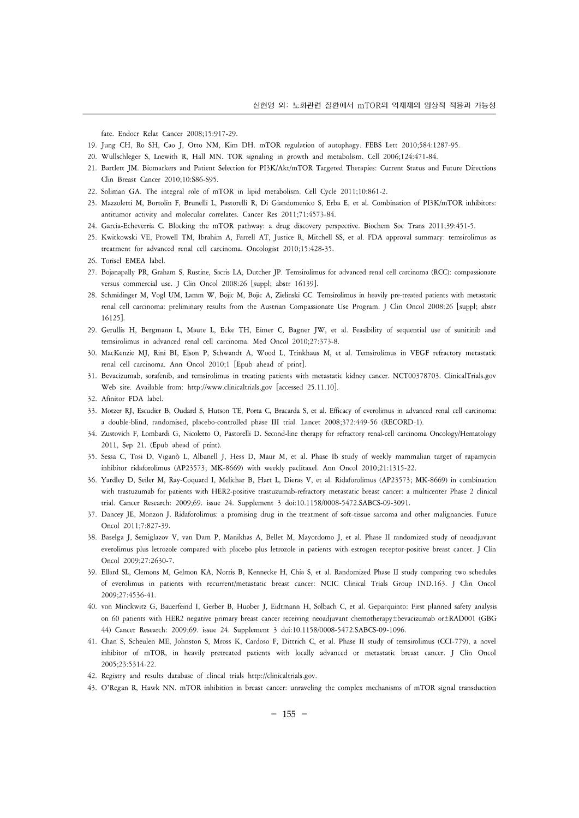fate. Endocr Relat Cancer 2008;15:917-29.

- 19. Jung CH, Ro SH, Cao J, Otto NM, Kim DH. mTOR regulation of autophagy. FEBS Lett 2010;584:1287-95.
- 20. Wullschleger S, Loewith R, Hall MN. TOR signaling in growth and metabolism. Cell 2006;124:471-84.
- 21. Bartlett JM. Biomarkers and Patient Selection for PI3K/Akt/mTOR Targeted Therapies: Current Status and Future Directions Clin Breast Cancer 2010;10:S86-S95.
- 22. Soliman GA. The integral role of mTOR in lipid metabolism. Cell Cycle 2011;10:861-2.
- 23. Mazzoletti M, Bortolin F, Brunelli L, Pastorelli R, Di Giandomenico S, Erba E, et al. Combination of PI3K/mTOR inhibitors: antitumor activity and molecular correlates. Cancer Res 2011;71:4573-84.
- 24. Garcia-Echeverria C. Blocking the mTOR pathway: a drug discovery perspective. Biochem Soc Trans 2011;39:451-5.
- 25. Kwitkowski VE, Prowell TM, Ibrahim A, Farrell AT, Justice R, Mitchell SS, et al. FDA approval summary: temsirolimus as treatment for advanced renal cell carcinoma. Oncologist 2010;15:428-35.
- 26. Torisel EMEA label.
- 27. Bojanapally PR, Graham S, Rustine, Sacris LA, Dutcher JP. Temsirolimus for advanced renal cell carcinoma (RCC): compassionate versus commercial use. J Clin Oncol 2008:26 [suppl; abstr 16139].
- 28. Schmidinger M, Vogl UM, Lamm W, Bojic M, Bojic A, Zielinski CC. Temsirolimus in heavily pre-treated patients with metastatic renal cell carcinoma: preliminary results from the Austrian Compassionate Use Program. J Clin Oncol 2008:26 [suppl; abstr 16125].
- 29. Gerullis H, Bergmann L, Maute L, Ecke TH, Eimer C, Bagner JW, et al. Feasibility of sequential use of sunitinib and temsirolimus in advanced renal cell carcinoma. Med Oncol 2010;27:373-8.
- 30. MacKenzie MJ, Rini BI, Elson P, Schwandt A, Wood L, Trinkhaus M, et al. Temsirolimus in VEGF refractory metastatic renal cell carcinoma. Ann Oncol 2010;1 [Epub ahead of print].
- 31. Bevacizumab, sorafenib, and temsirolimus in treating patients with metastatic kidney cancer. NCT00378703. ClinicalTrials.gov Web site. Available from: http://www.clinicaltrials.gov [accessed 25.11.10].
- 32. Afinitor FDA label.
- 33. Motzer RJ, Escudier B, Oudard S, Hutson TE, Porta C, Bracarda S, et al. Efficacy of everolimus in advanced renal cell carcinoma: a double-blind, randomised, placebo-controlled phase III trial. Lancet 2008;372:449-56 (RECORD-1).
- 34. Zustovich F, Lombardi G, Nicoletto O, Pastorelli D. Second-line therapy for refractory renal-cell carcinoma Oncology/Hematology 2011, Sep 21. (Epub ahead of print).
- 35. Sessa C, Tosi D, Viganò L, Albanell J, Hess D, Maur M, et al. Phase Ib study of weekly mammalian target of rapamycin inhibitor ridaforolimus (AP23573; MK-8669) with weekly paclitaxel. Ann Oncol 2010;21:1315-22.
- 36. Yardley D, Seiler M, Ray-Coquard I, Melichar B, Hart L, Dieras V, et al. Ridaforolimus (AP23573; MK-8669) in combination with trastuzumab for patients with HER2-positive trastuzumab-refractory metastatic breast cancer: a multicenter Phase 2 clinical trial. Cancer Research: 2009;69. issue 24. Supplement 3 doi:10.1158/0008-5472.SABCS-09-3091.
- 37. Dancey JE, Monzon J. Ridaforolimus: a promising drug in the treatment of soft-tissue sarcoma and other malignancies. Future Oncol 2011;7:827-39.
- 38. Baselga J, Semiglazov V, van Dam P, Manikhas A, Bellet M, Mayordomo J, et al. Phase II randomized study of neoadjuvant everolimus plus letrozole compared with placebo plus letrozole in patients with estrogen receptor-positive breast cancer. J Clin Oncol 2009;27:2630-7.
- 39. Ellard SL, Clemons M, Gelmon KA, Norris B, Kennecke H, Chia S, et al. Randomized Phase II study comparing two schedules of everolimus in patients with recurrent/metastatic breast cancer: NCIC Clinical Trials Group IND.163. J Clin Oncol 2009;27:4536-41.
- 40. von Minckwitz G, Bauerfeind I, Gerber B, Huober J, Eidtmann H, Solbach C, et al. Geparquinto: First planned safety analysis on 60 patients with HER2 negative primary breast cancer receiving neoadjuvant chemotherapy±bevacizumab or±RAD001 (GBG 44) Cancer Research: 2009;69. issue 24. Supplement 3 doi:10.1158/0008-5472.SABCS-09-1096.
- 41. Chan S, Scheulen ME, Johnston S, Mross K, Cardoso F, Dittrich C, et al. Phase II study of temsirolimus (CCI-779), a novel inhibitor of mTOR, in heavily pretreated patients with locally advanced or metastatic breast cancer. J Clin Oncol 2005;23:5314-22.
- 42. Registry and results database of clincal trials http://clinicaltrials.gov.
- 43. O'Regan R, Hawk NN. mTOR inhibition in breast cancer: unraveling the complex mechanisms of mTOR signal transduction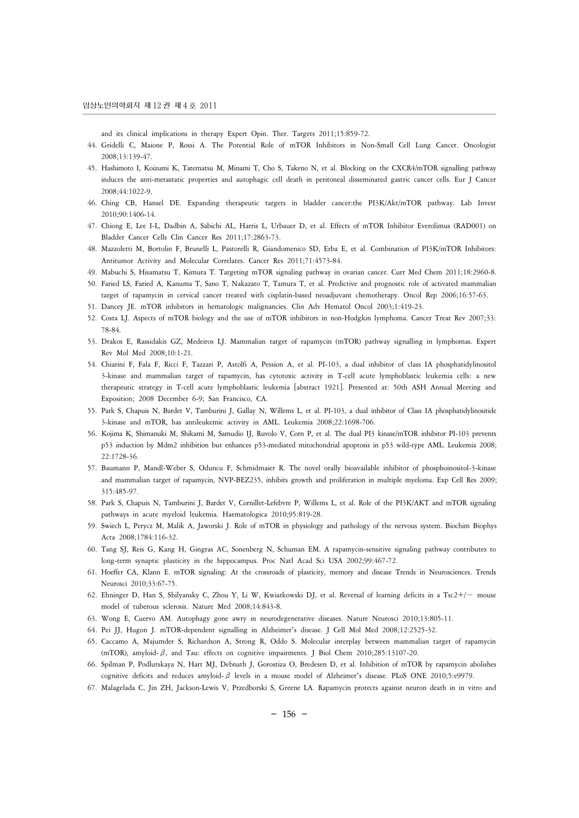and its clinical implications in therapy Expert Opin. Ther. Targets 2011;15:859-72.

- 44. Gridelli C, Maione P, Rossi A. The Potential Role of mTOR Inhibitors in Non-Small Cell Lung Cancer. Oncologist 2008;13:139-47.
- 45. Hashimoto I, Koizumi K, Tatematsu M, Minami T, Cho S, Takeno N, et al. Blocking on the CXCR4/mTOR signalling pathway induces the anti-metastatic properties and autophagic cell death in peritoneal disseminated gastric cancer cells. Eur J Cancer 2008;44:1022-9.
- 46. Ching CB, Hansel DE. Expanding therapeutic targets in bladder cancer:the PI3K/Akt/mTOR pathway. Lab Invest 2010;90:1406-14.
- 47. Chiong E, Lee I-L, Dadbin A, Sabichi AL, Harris L, Urbauer D, et al. Effects of mTOR Inhibitor Everolimus (RAD001) on Bladder Cancer Cells Clin Cancer Res 2011;17:2863-73.
- 48. Mazzoletti M, Bortolin F, Brunelli L, Pastorelli R, Giandomenico SD, Erba E, et al. Combination of PI3K/mTOR Inhibitors: Antitumor Activity and Molecular Correlates. Cancer Res 2011;71:4573-84.
- 49. Mabuchi S, Hisamatsu T, Kimura T. Targeting mTOR signaling pathway in ovarian cancer. Curr Med Chem 2011;18:2960-8.
- 50. Faried LS, Faried A, Kanuma T, Sano T, Nakazato T, Tamura T, et al. Predictive and prognostic role of activated mammalian target of rapamycin in cervical cancer treated with cisplatin-based neoadjuvant chemotherapy. Oncol Rep 2006;16:57-63.
- 51. Dancey JE. mTOR inhibitors in hematologic malignancies. Clin Adv Hematol Oncol 2003;1:419-23.
- 52. Costa LJ. Aspects of mTOR biology and the use of mTOR inhibitors in non-Hodgkin lymphoma. Cancer Treat Rev 2007;33: 78-84.
- 53. Drakos E, Rassidakis GZ, Medeiros LJ. Mammalian target of rapamycin (mTOR) pathway signalling in lymphomas. Expert Rev Mol Med 2008;10:1-21.
- 54. Chiarini F, Fala F, Ricci F, Tazzari P, Astolfi A, Pession A, et al. PI-103, a dual inhibitor of class IA phosphatidylinositol 3-kinase and mammalian target of rapamycin, has cytotoxic activity in T-cell acute lymphoblastic leukemia cells: a new therapeutic strategy in T-cell acute lymphoblastic leukemia [abstract 1921]. Presented at: 50th ASH Annual Meeting and Exposition; 2008 December 6-9; San Francisco, CA.
- 55. Park S, Chapuis N, Bardet V, Tamburini J, Gallay N, Willems L, et al. PI-103, a dual inhibitor of Class IA phosphatidylinositide 3-kinase and mTOR, has antileukemic activity in AML. Leukemia 2008;22:1698-706.
- 56. Kojima K, Shimanuki M, Shikami M, Samudio IJ, Ruvolo V, Corn P, et al. The dual PI3 kinase/mTOR inhibitor PI-103 prevents p53 induction by Mdm2 inhibition but enhances p53-mediated mitochondrial apoptosis in p53 wild-type AML. Leukemia 2008; 22:1728-36.
- 57. Baumann P, Mandl-Weber S, Oduncu F, Schmidmaier R. The novel orally bioavailable inhibitor of phosphoinositol-3-kinase and mammalian target of rapamycin, NVP-BEZ235, inhibits growth and proliferation in multiple myeloma. Exp Cell Res 2009; 315:485-97.
- 58. Park S, Chapuis N, Tamburini J, Bardet V, Cornillet-Lefebvre P, Willems L, et al. Role of the PI3K/AKT and mTOR signaling pathways in acute myeloid leukemia. Haematologica 2010;95:819-28.
- 59. Swiech L, Perycz M, Malik A, Jaworski J. Role of mTOR in physiology and pathology of the nervous system. Biochim Biophys Acta 2008;1784:116-32.
- 60. Tang SJ, Reis G, Kang H, Gingras AC, Sonenberg N, Schuman EM. A rapamycin-sensitive signaling pathway contributes to long-term synaptic plasticity in the hippocampus. Proc Natl Acad Sci USA 2002;99:467-72.
- 61. Hoeffer CA, Klann E. mTOR signaling: At the crossroads of plasticity, memory and disease Trends in Neurosciences. Trends Neurosci 2010;33:67-75.
- 62. Ehninger D, Han S, Shilyansky C, Zhou Y, Li W, Kwiatkowski DJ, et al. Reversal of learning deficits in a Tsc2+/− mouse model of tuberous sclerosis. Nature Med 2008;14:843-8.
- 63. Wong E, Cuervo AM. Autophagy gone awry in neurodegenerative diseases. Nature Neurosci 2010;13:805-11.
- 64. Pei JJ, Hugon J. mTOR-dependent signalling in Alzheimer's disease. J Cell Mol Med 2008;12:2525-32.
- 65. Caccamo A, Majumder S, Richardson A, Strong R, Oddo S. Molecular interplay between mammalian target of rapamycin (mTOR), amyloid-β, and Tau: effects on cognitive impairments. J Biol Chem 2010;285:13107-20.
- 66. Spilman P, Podlutskaya N, Hart MJ, Debnath J, Gorostiza O, Bredesen D, et al. Inhibition of mTOR by rapamycin abolishes cognitive deficits and reduces amyloid-β levels in a mouse model of Alzheimer's disease. PLoS ONE 2010;5:e9979.
- 67. Malagelada C, Jin ZH, Jackson-Lewis V, Przedborski S, Greene LA. Rapamycin protects against neuron death in in vitro and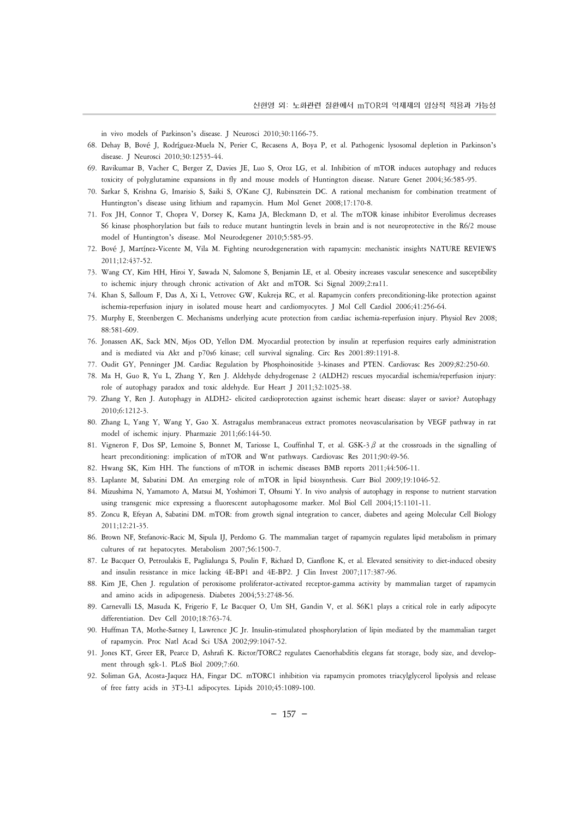in vivo models of Parkinson's disease. J Neurosci 2010;30:1166-75.

- 68. Dehay B, Bové J, Rodríguez-Muela N, Perier C, Recasens A, Boya P, et al. Pathogenic lysosomal depletion in Parkinson's disease. J Neurosci 2010;30:12535-44.
- 69. Ravikumar B, Vacher C, Berger Z, Davies JE, Luo S, Oroz LG, et al. Inhibition of mTOR induces autophagy and reduces toxicity of polyglutamine expansions in fly and mouse models of Huntington disease. Nature Genet 2004;36:585-95.
- 70. Sarkar S, Krishna G, Imarisio S, Saiki S, O'Kane CJ, Rubinsztein DC. A rational mechanism for combination treatment of Huntington's disease using lithium and rapamycin. Hum Mol Genet 2008;17:170-8.
- 71. Fox JH, Connor T, Chopra V, Dorsey K, Kama JA, Bleckmann D, et al. The mTOR kinase inhibitor Everolimus decreases S6 kinase phosphorylation but fails to reduce mutant huntingtin levels in brain and is not neuroprotective in the R6/2 mouse model of Huntington's disease. Mol Neurodegener 2010;5:585-95.
- 72. Bové J, Martínez-Vicente M, Vila M. Fighting neurodegeneration with rapamycin: mechanistic insights NATURE REVIEWS 2011;12:437-52.
- 73. Wang CY, Kim HH, Hiroi Y, Sawada N, Salomone S, Benjamin LE, et al. Obesity increases vascular senescence and susceptibility to ischemic injury through chronic activation of Akt and mTOR. Sci Signal 2009;2:ra11.
- 74. Khan S, Salloum F, Das A, Xi L, Vetrovec GW, Kukreja RC, et al. Rapamycin confers preconditioning-like protection against ischemia-reperfusion injury in isolated mouse heart and cardiomyocytes. J Mol Cell Cardiol 2006;41:256-64.
- 75. Murphy E, Steenbergen C. Mechanisms underlying acute protection from cardiac ischemia-reperfusion injury. Physiol Rev 2008; 88:581-609.
- 76. Jonassen AK, Sack MN, Mjos OD, Yellon DM. Myocardial protection by insulin at reperfusion requires early administration and is mediated via Akt and p70s6 kinase; cell survival signaling. Circ Res 2001:89:1191-8.
- 77. Oudit GY, Penninger JM. Cardiac Regulation by Phosphoinositide 3-kinases and PTEN. Cardiovasc Res 2009;82:250-60.
- 78. Ma H, Guo R, Yu L, Zhang Y, Ren J. Aldehyde dehydrogenase 2 (ALDH2) rescues myocardial ischemia/reperfusion injury: role of autophagy paradox and toxic aldehyde. Eur Heart J 2011;32:1025-38.
- 79. Zhang Y, Ren J. Autophagy in ALDH2- elicited cardioprotection against ischemic heart disease: slayer or savior? Autophagy 2010;6:1212-3.
- 80. Zhang L, Yang Y, Wang Y, Gao X. Astragalus membranaceus extract promotes neovascularisation by VEGF pathway in rat model of ischemic injury. Pharmazie 2011;66:144-50.
- 81. Vigneron F, Dos SP, Lemoine S, Bonnet M, Tariosse L, Couffinhal T, et al. GSK-3 $\beta$  at the crossroads in the signalling of heart preconditioning: implication of mTOR and Wnt pathways. Cardiovasc Res 2011;90:49-56.
- 82. Hwang SK, Kim HH. The functions of mTOR in ischemic diseases BMB reports 2011;44:506-11.
- 83. Laplante M, Sabatini DM. An emerging role of mTOR in lipid biosynthesis. Curr Biol 2009;19:1046-52.
- 84. Mizushima N, Yamamoto A, Matsui M, Yoshimori T, Ohsumi Y. In vivo analysis of autophagy in response to nutrient starvation using transgenic mice expressing a fluorescent autophagosome marker. Mol Biol Cell 2004;15:1101-11.
- 85. Zoncu R, Efeyan A, Sabatini DM. mTOR: from growth signal integration to cancer, diabetes and ageing Molecular Cell Biology 2011;12:21-35.
- 86. Brown NF, Stefanovic-Racic M, Sipula IJ, Perdomo G. The mammalian target of rapamycin regulates lipid metabolism in primary cultures of rat hepatocytes. Metabolism 2007;56:1500-7.
- 87. Le Bacquer O, Petroulakis E, Paglialunga S, Poulin F, Richard D, Cianflone K, et al. Elevated sensitivity to diet-induced obesity and insulin resistance in mice lacking 4E-BP1 and 4E-BP2. J Clin Invest 2007;117:387-96.
- 88. Kim JE, Chen J. regulation of peroxisome proliferator-activated receptor-gamma activity by mammalian target of rapamycin and amino acids in adipogenesis. Diabetes 2004;53:2748-56.
- 89. Carnevalli LS, Masuda K, Frigerio F, Le Bacquer O, Um SH, Gandin V, et al. S6K1 plays a critical role in early adipocyte differentiation. Dev Cell 2010;18:763-74.
- 90. Huffman TA, Mothe-Satney I, Lawrence JC Jr. Insulin-stimulated phosphorylation of lipin mediated by the mammalian target of rapamycin. Proc Natl Acad Sci USA 2002;99:1047-52.
- 91. Jones KT, Greer ER, Pearce D, Ashrafi K. Rictor/TORC2 regulates Caenorhabditis elegans fat storage, body size, and development through sgk-1. PLoS Biol 2009;7:60.
- 92. Soliman GA, Acosta-Jaquez HA, Fingar DC. mTORC1 inhibition via rapamycin promotes triacylglycerol lipolysis and release of free fatty acids in 3T3-L1 adipocytes. Lipids 2010;45:1089-100.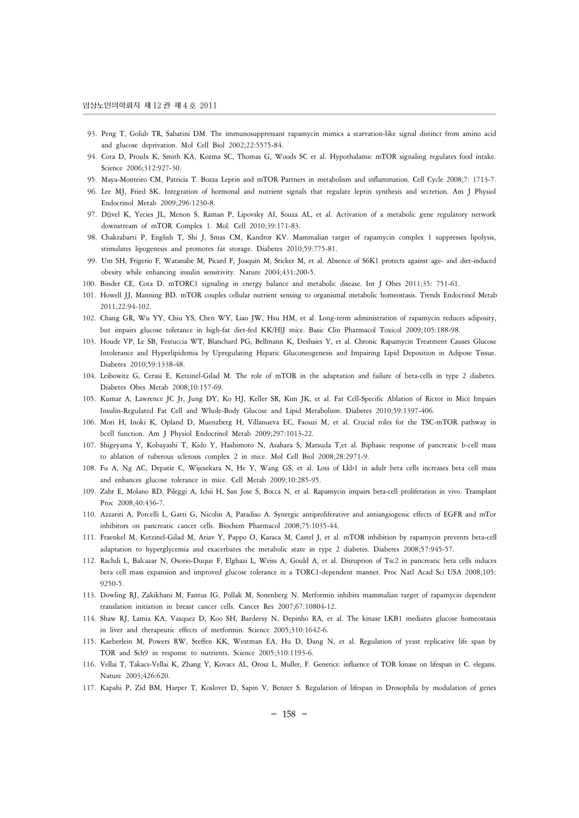- 93. Peng T, Golub TR, Sabatini DM. The immunosuppressant rapamycin mimics a starvation-like signal distinct from amino acid and glucose deprivation. Mol Cell Biol 2002;22:5575-84.
- 94. Cota D, Proulx K, Smith KA, Kozma SC, Thomas G, Woods SC et al. Hypothalamic mTOR signaling regulates food intake. Science 2006;312:927-30.
- 95. Maya-Monteiro CM, Patricia T. Bozza Leptin and mTOR Partners in metabolism and inflammation. Cell Cycle 2008;7: 1713-7.
- 96. Lee MJ, Fried SK. Integration of hormonal and nutrient signals that regulate leptin synthesis and secretion. Am J Physiol Endocrinol Metab 2009;296:1230-8.
- 97. Düvel K, Yecies JL, Menon S, Raman P, Lipovsky AI, Souza AL, et al. Activation of a metabolic gene regulatory network downstream of mTOR Complex 1. Mol. Cell 2010;39:171-83.
- 98. Chakrabarti P, English T, Shi J, Smas CM, Kandror KV. Mammalian target of rapamycin complex 1 suppresses lipolysis, stimulates lipogenesis and promotes fat storage. Diabetes 2010;59:775-81.
- 99. Um SH, Frigerio F, Watanabe M, Picard F, Joaquin M, Sticker M, et al. Absence of S6K1 protects against age- and diet-induced obesity while enhancing insulin sensitivity. Nature 2004;431:200-5.
- 100. Binder CE, Cota D. mTORC1 signaling in energy balance and metabolic disease. Int J Obes 2011;35: 751-61.
- 101. Howell JJ, Manning BD. mTOR couples cellular nutrient sensing to organismal metabolic homeostasis. Trends Endocrinol Metab 2011;22:94-102.
- 102. Chang GR, Wu YY, Chiu YS, Chen WY, Liao JW, Hsu HM, et al. Long-term administration of rapamycin reduces adiposity, but impairs glucose tolerance in high-fat diet-fed KK/HlJ mice. Basic Clin Pharmacol Toxicol 2009;105:188-98.
- 103. Houde VP, Le SB, Festuccia WT, Blanchard PG, Bellmann K, Deshaies Y, et al. Chronic Rapamycin Treatment Causes Glucose Intolerance and Hyperlipidemia by Upregulating Hepatic Gluconeogenesis and Impairing Lipid Deposition in Adipose Tissue. Diabetes 2010;59:1338-48.
- 104. Leibowitz G, Cerasi E, Ketzinel-Gilad M. The role of mTOR in the adaptation and failure of beta-cells in type 2 diabetes. Diabetes Obes Metab 2008;10:157-69.
- 105. Kumar A, Lawrence JC Jr, Jung DY, Ko HJ, Keller SR, Kim JK, et al. Fat Cell-Specific Ablation of Rictor in Mice Impairs Insulin-Regulated Fat Cell and Whole-Body Glucose and Lipid Metabolism. Diabetes 2010;59:1397-406.
- 106. Mori H, Inoki K, Opland D, Muenzberg H, Villanueva EC, Faouzi M, et al. Crucial roles for the TSC-mTOR pathway in bcell function. Am J Physiol Endocrinol Metab 2009;297:1013-22.
- 107. Shigeyama Y, Kobayashi T, Kido Y, Hashimoto N, Asahara S, Matsuda T,et al. Biphasic response of pancreatic b-cell mass to ablation of tuberous sclerosis complex 2 in mice. Mol Cell Biol 2008;28:2971-9.
- 108. Fu A, Ng AC, Depatie C, Wijesekara N, He Y, Wang GS, et al. Loss of Lkb1 in adult beta cells increases beta cell mass and enhances glucose tolerance in mice. Cell Metab 2009;10:285-95.
- 109. Zahr E, Molano RD, Pileggi A, Ichii H, San Jose S, Bocca N, et al. Rapamycin impairs beta-cell proliferation in vivo. Transplant Proc 2008;40:436-7.
- 110. Azzariti A, Porcelli L, Gatti G, Nicolin A, Paradiso A. Synergic antiproliferative and antiangiogenic effects of EGFR and mTor inhibitors on pancreatic cancer cells. Biochem Pharmacol 2008;75:1035-44.
- 111. Fraenkel M, Ketzinel-Gilad M, Ariav Y, Pappo O, Karaca M, Castel J, et al. mTOR inhibition by rapamycin prevents beta-cell adaptation to hyperglycemia and exacerbates the metabolic state in type 2 diabetes. Diabetes 2008;57:945-57.
- 112. Rachdi L, Balcazar N, Osorio-Duque F, Elghazi L, Weiss A, Gould A, et al. Disruption of Tsc2 in pancreatic beta cells induces beta cell mass expansion and improved glucose tolerance in a TORC1-dependent manner. Proc Natl Acad Sci USA 2008;105: 9250-5.
- 113. Dowling RJ, Zakikhani M, Fantus IG, Pollak M, Sonenberg N. Metformin inhibits mammalian target of rapamycin dependent translation initiation in breast cancer cells. Cancer Res 2007;67:10804-12.
- 114. Shaw RJ, Lamia KA, Vasquez D, Koo SH, Bardeesy N, Depinho RA, et al. The kinase LKB1 mediates glucose homeostasis in liver and therapeutic effects of metformin. Science 2005;310:1642-6.
- 115. Kaeberlein M, Powers RW, Steffen KK, Westman EA, Hu D, Dang N, et al. Regulation of yeast replicative life span by TOR and Sch9 in response to nutrients. Science 2005;310:1193-6.
- 116. Vellai T, Takacs-Vellai K, Zhang Y, Kovacs AL, Orosz L, Muller, F. Genetics: influence of TOR kinase on lifespan in C. elegans. Nature 2003;426:620.
- 117. Kapahi P, Zid BM, Harper T, Koslover D, Sapin V, Benzer S. Regulation of lifespan in Drosophila by modulation of genes